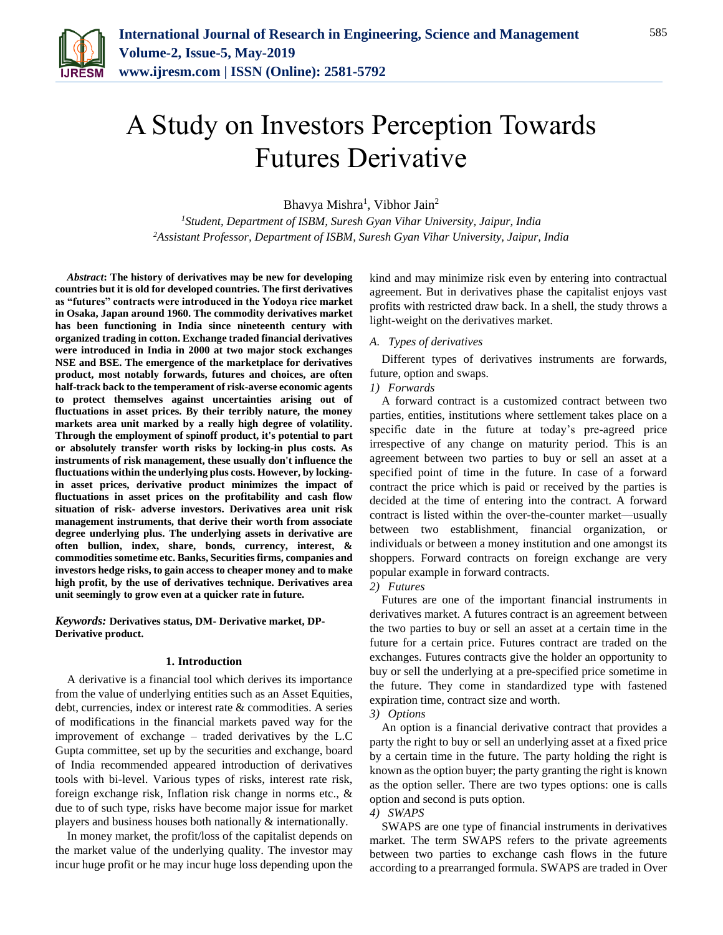

# A Study on Investors Perception Towards Futures Derivative

Bhavya Mishra<sup>1</sup>, Vibhor Jain<sup>2</sup>

*<sup>1</sup>Student, Department of ISBM, Suresh Gyan Vihar University, Jaipur, India 2Assistant Professor, Department of ISBM, Suresh Gyan Vihar University, Jaipur, India*

*Abstract***: The history of derivatives may be new for developing countries but it is old for developed countries. The first derivatives as "futures" contracts were introduced in the Yodoya rice market in Osaka, Japan around 1960. The commodity derivatives market has been functioning in India since nineteenth century with organized trading in cotton. Exchange traded financial derivatives were introduced in India in 2000 at two major stock exchanges NSE and BSE. The emergence of the marketplace for derivatives product, most notably forwards, futures and choices, are often half-track back to the temperament of risk-averse economic agents to protect themselves against uncertainties arising out of fluctuations in asset prices. By their terribly nature, the money markets area unit marked by a really high degree of volatility. Through the employment of spinoff product, it's potential to part or absolutely transfer worth risks by locking-in plus costs. As instruments of risk management, these usually don't influence the fluctuations within the underlying plus costs. However, by lockingin asset prices, derivative product minimizes the impact of fluctuations in asset prices on the profitability and cash flow situation of risk- adverse investors. Derivatives area unit risk management instruments, that derive their worth from associate degree underlying plus. The underlying assets in derivative are often bullion, index, share, bonds, currency, interest, & commodities sometime etc. Banks, Securities firms, companies and investors hedge risks, to gain access to cheaper money and to make high profit, by the use of derivatives technique. Derivatives area unit seemingly to grow even at a quicker rate in future.**

*Keywords:* **Derivatives status, DM- Derivative market, DP-Derivative product.**

### **1. Introduction**

A derivative is a financial tool which derives its importance from the value of underlying entities such as an Asset Equities, debt, currencies, index or interest rate & commodities. A series of modifications in the financial markets paved way for the improvement of exchange – traded derivatives by the L.C Gupta committee, set up by the securities and exchange, board of India recommended appeared introduction of derivatives tools with bi-level. Various types of risks, interest rate risk, foreign exchange risk, Inflation risk change in norms etc., & due to of such type, risks have become major issue for market players and business houses both nationally & internationally.

In money market, the profit/loss of the capitalist depends on the market value of the underlying quality. The investor may incur huge profit or he may incur huge loss depending upon the kind and may minimize risk even by entering into contractual agreement. But in derivatives phase the capitalist enjoys vast profits with restricted draw back. In a shell, the study throws a light-weight on the derivatives market.

#### *A. Types of derivatives*

Different types of derivatives instruments are forwards, future, option and swaps.

#### *1) Forwards*

A forward contract is a customized contract between two parties, entities, institutions where settlement takes place on a specific date in the future at today's pre-agreed price irrespective of any change on maturity period. This is an agreement between two parties to buy or sell an asset at a specified point of time in the future. In case of a forward contract the price which is paid or received by the parties is decided at the time of entering into the contract. A forward contract is listed within the over-the-counter market—usually between two establishment, financial organization, or individuals or between a money institution and one amongst its shoppers. Forward contracts on foreign exchange are very popular example in forward contracts.

*2) Futures*

Futures are one of the important financial instruments in derivatives market. A futures contract is an agreement between the two parties to buy or sell an asset at a certain time in the future for a certain price. Futures contract are traded on the exchanges. Futures contracts give the holder an opportunity to buy or sell the underlying at a pre-specified price sometime in the future. They come in standardized type with fastened expiration time, contract size and worth.

#### *3) Options*

An option is a financial derivative contract that provides a party the right to buy or sell an underlying asset at a fixed price by a certain time in the future. The party holding the right is known as the option buyer; the party granting the right is known as the option seller. There are two types options: one is calls option and second is puts option.

#### *4) SWAPS*

SWAPS are one type of financial instruments in derivatives market. The term SWAPS refers to the private agreements between two parties to exchange cash flows in the future according to a prearranged formula. SWAPS are traded in Over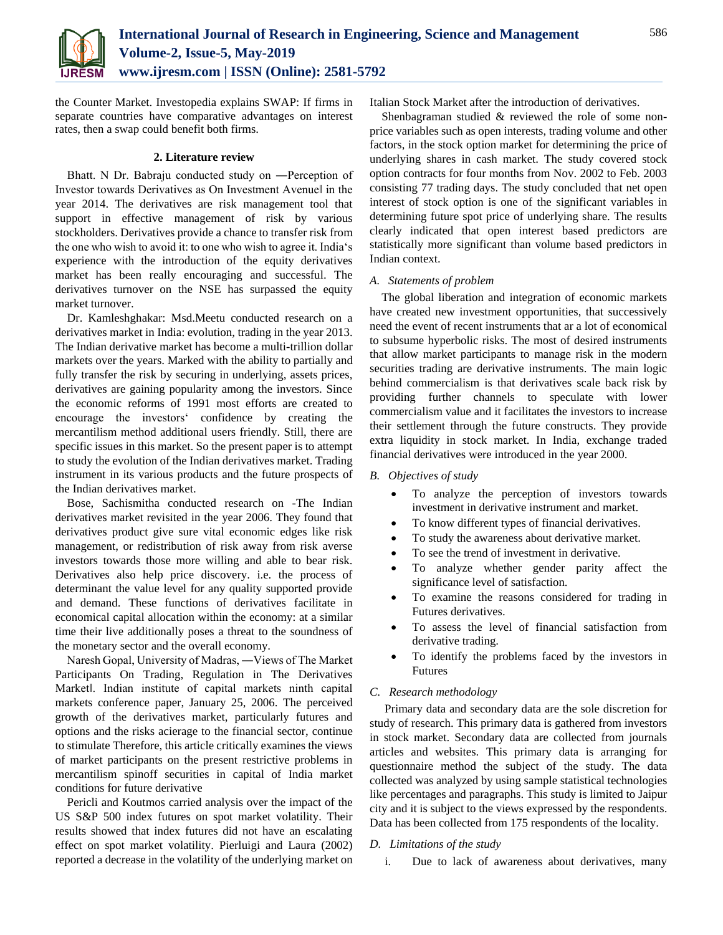

the Counter Market. Investopedia explains SWAP: If firms in separate countries have comparative advantages on interest rates, then a swap could benefit both firms.

#### **2. Literature review**

Bhatt. N Dr. Babraju conducted study on ―Perception of Investor towards Derivatives as On Investment Avenue‖ in the year 2014. The derivatives are risk management tool that support in effective management of risk by various stockholders. Derivatives provide a chance to transfer risk from the one who wish to avoid it: to one who wish to agree it. India's experience with the introduction of the equity derivatives market has been really encouraging and successful. The derivatives turnover on the NSE has surpassed the equity market turnover.

Dr. Kamleshghakar: Msd.Meetu conducted research on a derivatives market in India: evolution, trading in the year 2013. The Indian derivative market has become a multi-trillion dollar markets over the years. Marked with the ability to partially and fully transfer the risk by securing in underlying, assets prices, derivatives are gaining popularity among the investors. Since the economic reforms of 1991 most efforts are created to encourage the investors' confidence by creating the mercantilism method additional users friendly. Still, there are specific issues in this market. So the present paper is to attempt to study the evolution of the Indian derivatives market. Trading instrument in its various products and the future prospects of the Indian derivatives market.

Bose, Sachismitha conducted research on -The Indian derivatives market revisited in the year 2006. They found that derivatives product give sure vital economic edges like risk management, or redistribution of risk away from risk averse investors towards those more willing and able to bear risk. Derivatives also help price discovery. i.e. the process of determinant the value level for any quality supported provide and demand. These functions of derivatives facilitate in economical capital allocation within the economy: at a similar time their live additionally poses a threat to the soundness of the monetary sector and the overall economy.

Naresh Gopal, University of Madras, ―Views of The Market Participants On Trading, Regulation in The Derivatives Market‖. Indian institute of capital markets ninth capital markets conference paper, January 25, 2006. The perceived growth of the derivatives market, particularly futures and options and the risks acierage to the financial sector, continue to stimulate Therefore, this article critically examines the views of market participants on the present restrictive problems in mercantilism spinoff securities in capital of India market conditions for future derivative

Pericli and Koutmos carried analysis over the impact of the US S&P 500 index futures on spot market volatility. Their results showed that index futures did not have an escalating effect on spot market volatility. Pierluigi and Laura (2002) reported a decrease in the volatility of the underlying market on Italian Stock Market after the introduction of derivatives.

Shenbagraman studied & reviewed the role of some nonprice variables such as open interests, trading volume and other factors, in the stock option market for determining the price of underlying shares in cash market. The study covered stock option contracts for four months from Nov. 2002 to Feb. 2003 consisting 77 trading days. The study concluded that net open interest of stock option is one of the significant variables in determining future spot price of underlying share. The results clearly indicated that open interest based predictors are statistically more significant than volume based predictors in Indian context.

#### *A. Statements of problem*

The global liberation and integration of economic markets have created new investment opportunities, that successively need the event of recent instruments that ar a lot of economical to subsume hyperbolic risks. The most of desired instruments that allow market participants to manage risk in the modern securities trading are derivative instruments. The main logic behind commercialism is that derivatives scale back risk by providing further channels to speculate with lower commercialism value and it facilitates the investors to increase their settlement through the future constructs. They provide extra liquidity in stock market. In India, exchange traded financial derivatives were introduced in the year 2000.

#### *B. Objectives of study*

- To analyze the perception of investors towards investment in derivative instrument and market.
- To know different types of financial derivatives.
- To study the awareness about derivative market.
- To see the trend of investment in derivative.
- To analyze whether gender parity affect the significance level of satisfaction.
- To examine the reasons considered for trading in Futures derivatives.
- To assess the level of financial satisfaction from derivative trading.
- To identify the problems faced by the investors in Futures

### *C. Research methodology*

Primary data and secondary data are the sole discretion for study of research. This primary data is gathered from investors in stock market. Secondary data are collected from journals articles and websites. This primary data is arranging for questionnaire method the subject of the study. The data collected was analyzed by using sample statistical technologies like percentages and paragraphs. This study is limited to Jaipur city and it is subject to the views expressed by the respondents. Data has been collected from 175 respondents of the locality.

# *D. Limitations of the study*

i. Due to lack of awareness about derivatives, many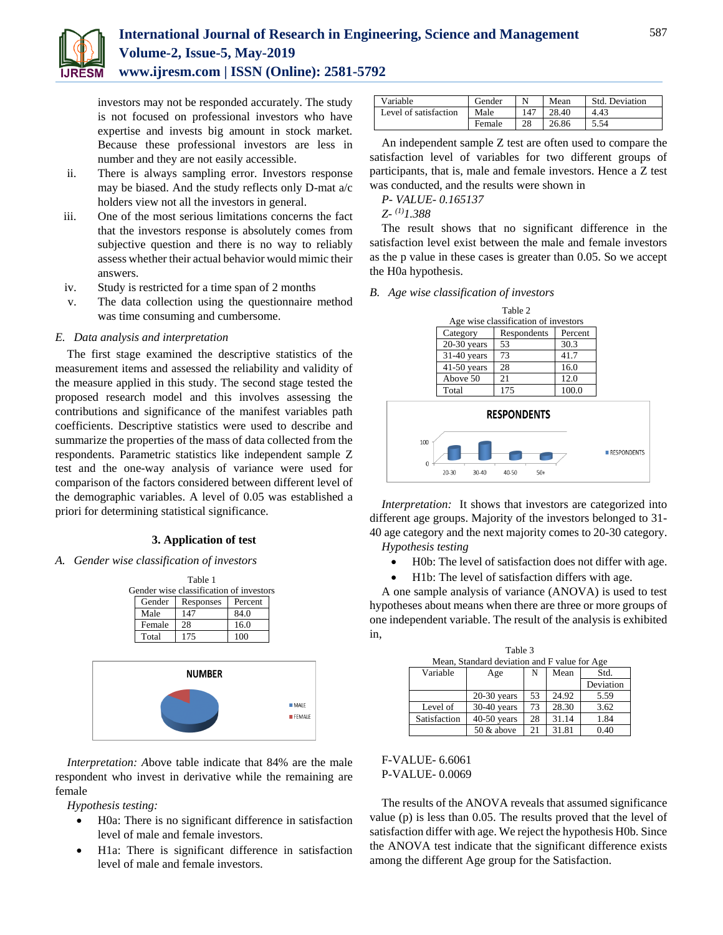

# **International Journal of Research in Engineering, Science and Management Volume-2, Issue-5, May-2019 www.ijresm.com | ISSN (Online): 2581-5792**

investors may not be responded accurately. The study is not focused on professional investors who have expertise and invests big amount in stock market. Because these professional investors are less in number and they are not easily accessible.

- ii. There is always sampling error. Investors response may be biased. And the study reflects only D-mat a/c holders view not all the investors in general.
- iii. One of the most serious limitations concerns the fact that the investors response is absolutely comes from subjective question and there is no way to reliably assess whether their actual behavior would mimic their answers.
- iv. Study is restricted for a time span of 2 months
- v. The data collection using the questionnaire method was time consuming and cumbersome.

#### *E. Data analysis and interpretation*

The first stage examined the descriptive statistics of the measurement items and assessed the reliability and validity of the measure applied in this study. The second stage tested the proposed research model and this involves assessing the contributions and significance of the manifest variables path coefficients. Descriptive statistics were used to describe and summarize the properties of the mass of data collected from the respondents. Parametric statistics like independent sample Z test and the one-way analysis of variance were used for comparison of the factors considered between different level of the demographic variables. A level of 0.05 was established a priori for determining statistical significance.

#### **3. Application of test**

*A. Gender wise classification of investors*

| Table 1 |                                         |           |         |  |  |  |  |  |
|---------|-----------------------------------------|-----------|---------|--|--|--|--|--|
|         | Gender wise classification of investors |           |         |  |  |  |  |  |
|         | Gender                                  | Responses | Percent |  |  |  |  |  |
|         | Male                                    | 147       | 84.0    |  |  |  |  |  |
|         | Female                                  | 28        | 16.0    |  |  |  |  |  |
|         | Total                                   | 175       | 100     |  |  |  |  |  |



*Interpretation: A*bove table indicate that 84% are the male respondent who invest in derivative while the remaining are female

*Hypothesis testing:*

- H0a: There is no significant difference in satisfaction level of male and female investors.
- H1a: There is significant difference in satisfaction level of male and female investors.

| Variable              | Gender |     | Mean  | Std. Deviation |
|-----------------------|--------|-----|-------|----------------|
| Level of satisfaction | Male   | 147 | 28.40 | 4.43           |
|                       | Female | 28  | 26.86 | 5.54           |

An independent sample Z test are often used to compare the satisfaction level of variables for two different groups of participants, that is, male and female investors. Hence a Z test was conducted, and the results were shown in

*P- VALUE- 0.165137*

*Z- (1)1.388*

The result shows that no significant difference in the satisfaction level exist between the male and female investors as the p value in these cases is greater than 0.05. So we accept the H0a hypothesis.

*B. Age wise classification of investors*

| Table 2<br>Age wise classification of investors |                    |             |         |  |  |  |
|-------------------------------------------------|--------------------|-------------|---------|--|--|--|
|                                                 | Category           | Respondents | Percent |  |  |  |
|                                                 | $20-30$ years      | 53          | 30.3    |  |  |  |
|                                                 | $31-40$ years      | 73          | 41.7    |  |  |  |
|                                                 | $41-50$ years      | 28          | 16.0    |  |  |  |
|                                                 | Above 50           | 21          | 12.0    |  |  |  |
|                                                 | Total              | 175         | 100.0   |  |  |  |
| <b>RESPONDENTS</b><br>100                       |                    |             |         |  |  |  |
| $\Omega$                                        | <b>RESPONDENTS</b> |             |         |  |  |  |

*Interpretation:* It shows that investors are categorized into different age groups. Majority of the investors belonged to 31- 40 age category and the next majority comes to 20-30 category. *Hypothesis testing*

- H0b: The level of satisfaction does not differ with age.
- H1b: The level of satisfaction differs with age.

A one sample analysis of variance (ANOVA) is used to test hypotheses about means when there are three or more groups of one independent variable. The result of the analysis is exhibited in,

 $\overline{1}$   $\overline{1}$   $\overline{2}$   $\overline{3}$ 

| Table 3                                      |               |    |       |      |  |  |  |
|----------------------------------------------|---------------|----|-------|------|--|--|--|
| Mean, Standard deviation and F value for Age |               |    |       |      |  |  |  |
| Variable<br>Std.<br>Mean<br>Age<br>N         |               |    |       |      |  |  |  |
|                                              |               |    |       |      |  |  |  |
|                                              | $20-30$ years | 53 | 24.92 | 5.59 |  |  |  |
| Level of                                     | $30-40$ years | 73 | 28.30 | 3.62 |  |  |  |
| Satisfaction                                 | $40-50$ years | 28 | 31.14 | 1.84 |  |  |  |
|                                              | 50 & above    | 21 | 31.81 | 0.40 |  |  |  |

# F-VALUE- 6.6061 P-VALUE- 0.0069

The results of the ANOVA reveals that assumed significance value (p) is less than 0.05. The results proved that the level of satisfaction differ with age. We reject the hypothesis H0b. Since the ANOVA test indicate that the significant difference exists among the different Age group for the Satisfaction.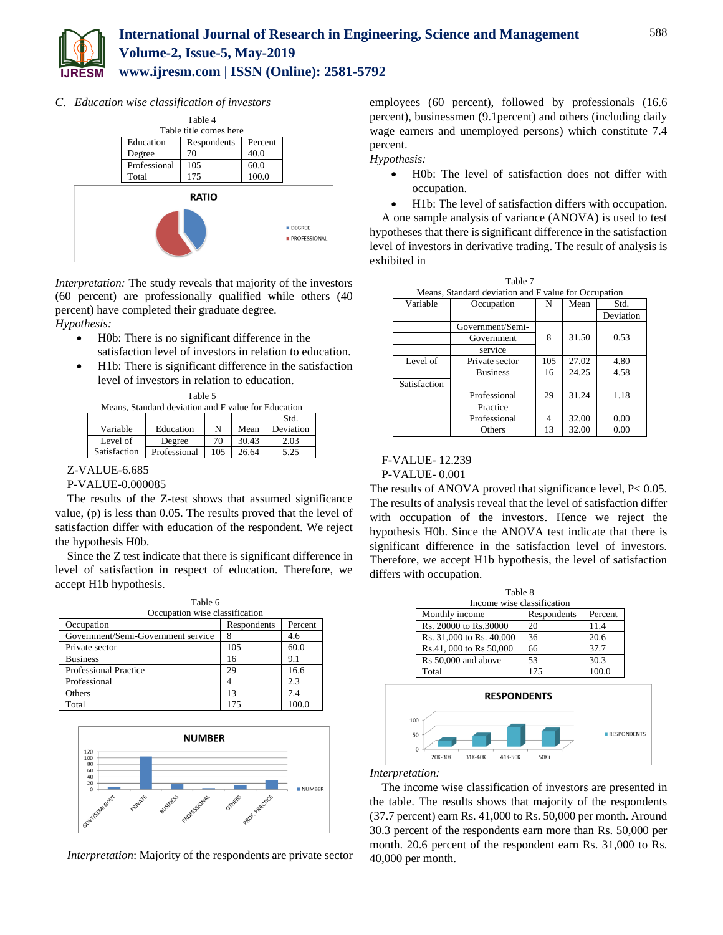

*C. Education wise classification of investors*



*Interpretation:* The study reveals that majority of the investors (60 percent) are professionally qualified while others (40 percent) have completed their graduate degree. *Hypothesis:*

- - H0b: There is no significant difference in the satisfaction level of investors in relation to education.
	- H1b: There is significant difference in the satisfaction level of investors in relation to education.  $T<sub>0</sub>$  black

| тавне э                                             |  |           |  |     |  |  |
|-----------------------------------------------------|--|-----------|--|-----|--|--|
| Means. Standard deviation and F value for Education |  |           |  |     |  |  |
|                                                     |  |           |  | Std |  |  |
|                                                     |  | <b>AT</b> |  |     |  |  |

|              |              |     |       | <b>ADIAL.</b> |
|--------------|--------------|-----|-------|---------------|
| Variable     | Education    |     | Mean  | Deviation     |
| Level of     | Degree       | 70  | 30.43 | 2.03          |
| Satisfaction | Professional | 105 | 26.64 | 5.25          |
|              |              |     |       |               |

# Z-VALUE-6.685

# P-VALUE-0.000085

The results of the Z-test shows that assumed significance value, (p) is less than 0.05. The results proved that the level of satisfaction differ with education of the respondent. We reject the hypothesis H0b.

Since the Z test indicate that there is significant difference in level of satisfaction in respect of education. Therefore, we accept H1b hypothesis.

| Table 6                            |             |         |  |  |
|------------------------------------|-------------|---------|--|--|
| Occupation wise classification     |             |         |  |  |
| Occupation                         | Respondents | Percent |  |  |
| Government/Semi-Government service |             | 4.6     |  |  |
| Private sector                     | 105         | 60.0    |  |  |
| <b>Business</b>                    | 16          | 9.1     |  |  |
| <b>Professional Practice</b>       | 29          | 16.6    |  |  |
| Professional                       |             | 2.3     |  |  |
| Others                             | 13          | 7.4     |  |  |
| Total                              | 175         |         |  |  |



*Interpretation*: Majority of the respondents are private sector

employees (60 percent), followed by professionals (16.6 percent), businessmen (9.1percent) and others (including daily wage earners and unemployed persons) which constitute 7.4 percent.

# *Hypothesis:*

- H0b: The level of satisfaction does not differ with occupation.
- H1b: The level of satisfaction differs with occupation.

A one sample analysis of variance (ANOVA) is used to test hypotheses that there is significant difference in the satisfaction level of investors in derivative trading. The result of analysis is exhibited in

 $T_{\rm{max}}$ 

|                                                      | Table 7          |     |       |           |  |
|------------------------------------------------------|------------------|-----|-------|-----------|--|
| Means, Standard deviation and F value for Occupation |                  |     |       |           |  |
| Variable                                             | Occupation       | N   | Mean  | Std.      |  |
|                                                      |                  |     |       | Deviation |  |
|                                                      | Government/Semi- |     |       |           |  |
|                                                      | Government       | 8   | 31.50 | 0.53      |  |
|                                                      | service          |     |       |           |  |
| Level of                                             | Private sector   | 105 | 27.02 | 4.80      |  |
|                                                      | <b>Business</b>  | 16  | 24.25 | 4.58      |  |
| Satisfaction                                         |                  |     |       |           |  |
|                                                      | Professional     | 29  | 31.24 | 1.18      |  |
|                                                      | Practice         |     |       |           |  |
|                                                      | Professional     | 4   | 32.00 | 0.00      |  |
|                                                      | Others           | 13  | 32.00 | 0.00      |  |

# F-VALUE- 12.239

### P-VALUE- 0.001

The results of ANOVA proved that significance level, P< 0.05. The results of analysis reveal that the level of satisfaction differ with occupation of the investors. Hence we reject the hypothesis H0b. Since the ANOVA test indicate that there is significant difference in the satisfaction level of investors. Therefore, we accept H1b hypothesis, the level of satisfaction differs with occupation.

| Table 8                    |             |         |  |  |  |
|----------------------------|-------------|---------|--|--|--|
| Income wise classification |             |         |  |  |  |
| Monthly income             | Respondents | Percent |  |  |  |
| Rs. 20000 to Rs. 30000     | 20          | 11.4    |  |  |  |
| Rs. 31,000 to Rs. 40,000   | 36          | 20.6    |  |  |  |
| Rs.41, 000 to Rs 50,000    | 66          | 37.7    |  |  |  |
| Rs 50,000 and above        | 53          | 30.3    |  |  |  |
| Total                      | 175         | 100.0   |  |  |  |



#### *Interpretation:*

The income wise classification of investors are presented in the table. The results shows that majority of the respondents (37.7 percent) earn Rs. 41,000 to Rs. 50,000 per month. Around 30.3 percent of the respondents earn more than Rs. 50,000 per month. 20.6 percent of the respondent earn Rs. 31,000 to Rs. 40,000 per month.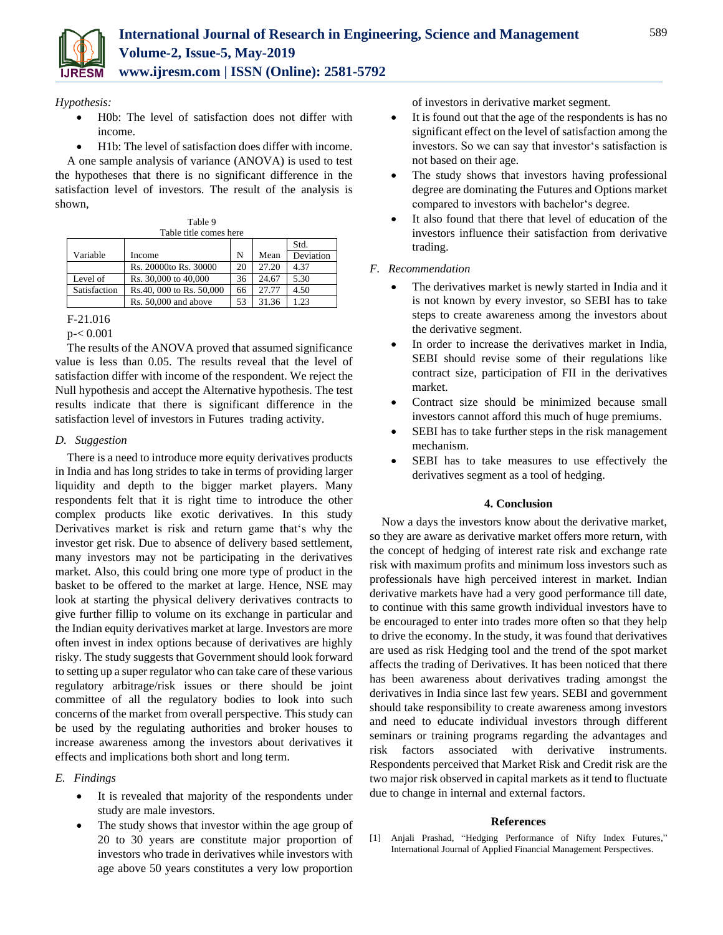

*Hypothesis:*

- H0b: The level of satisfaction does not differ with income.
- H1b: The level of satisfaction does differ with income.

A one sample analysis of variance (ANOVA) is used to test the hypotheses that there is no significant difference in the satisfaction level of investors. The result of the analysis is shown,

| Table title comes here |                          |    |       |           |  |
|------------------------|--------------------------|----|-------|-----------|--|
|                        |                          |    |       | Std.      |  |
| Variable               | Income                   | N  | Mean  | Deviation |  |
|                        | Rs. 20000to Rs. 30000    | 20 | 27.20 | 4.37      |  |
| Level of               | Rs. 30,000 to 40,000     | 36 | 24.67 | 5.30      |  |
| Satisfaction           | Rs.40, 000 to Rs. 50,000 | 66 | 27.77 | 4.50      |  |
|                        | Rs. 50,000 and above     | 53 | 31.36 | 1.23      |  |

Table 9

The results of the ANOVA proved that assumed significance value is less than 0.05. The results reveal that the level of satisfaction differ with income of the respondent. We reject the Null hypothesis and accept the Alternative hypothesis. The test results indicate that there is significant difference in the satisfaction level of investors in Futures trading activity.

# *D. Suggestion*

There is a need to introduce more equity derivatives products in India and has long strides to take in terms of providing larger liquidity and depth to the bigger market players. Many respondents felt that it is right time to introduce the other complex products like exotic derivatives. In this study Derivatives market is risk and return game that's why the investor get risk. Due to absence of delivery based settlement, many investors may not be participating in the derivatives market. Also, this could bring one more type of product in the basket to be offered to the market at large. Hence, NSE may look at starting the physical delivery derivatives contracts to give further fillip to volume on its exchange in particular and the Indian equity derivatives market at large. Investors are more often invest in index options because of derivatives are highly risky. The study suggests that Government should look forward to setting up a super regulator who can take care of these various regulatory arbitrage/risk issues or there should be joint committee of all the regulatory bodies to look into such concerns of the market from overall perspective. This study can be used by the regulating authorities and broker houses to increase awareness among the investors about derivatives it effects and implications both short and long term.

# *E. Findings*

- It is revealed that majority of the respondents under study are male investors.
- The study shows that investor within the age group of 20 to 30 years are constitute major proportion of investors who trade in derivatives while investors with age above 50 years constitutes a very low proportion

of investors in derivative market segment.

- It is found out that the age of the respondents is has no significant effect on the level of satisfaction among the investors. So we can say that investor's satisfaction is not based on their age.
- The study shows that investors having professional degree are dominating the Futures and Options market compared to investors with bachelor's degree.
- It also found that there that level of education of the investors influence their satisfaction from derivative trading.

# *F. Recommendation*

- The derivatives market is newly started in India and it is not known by every investor, so SEBI has to take steps to create awareness among the investors about the derivative segment.
- In order to increase the derivatives market in India, SEBI should revise some of their regulations like contract size, participation of FII in the derivatives market.
- Contract size should be minimized because small investors cannot afford this much of huge premiums.
- SEBI has to take further steps in the risk management mechanism.
- SEBI has to take measures to use effectively the derivatives segment as a tool of hedging.

### **4. Conclusion**

Now a days the investors know about the derivative market, so they are aware as derivative market offers more return, with the concept of hedging of interest rate risk and exchange rate risk with maximum profits and minimum loss investors such as professionals have high perceived interest in market. Indian derivative markets have had a very good performance till date, to continue with this same growth individual investors have to be encouraged to enter into trades more often so that they help to drive the economy. In the study, it was found that derivatives are used as risk Hedging tool and the trend of the spot market affects the trading of Derivatives. It has been noticed that there has been awareness about derivatives trading amongst the derivatives in India since last few years. SEBI and government should take responsibility to create awareness among investors and need to educate individual investors through different seminars or training programs regarding the advantages and risk factors associated with derivative instruments. Respondents perceived that Market Risk and Credit risk are the two major risk observed in capital markets as it tend to fluctuate due to change in internal and external factors.

### **References**

[1] Anjali Prashad, "Hedging Performance of Nifty Index Futures," International Journal of Applied Financial Management Perspectives.

F-21.016

p-< 0.001